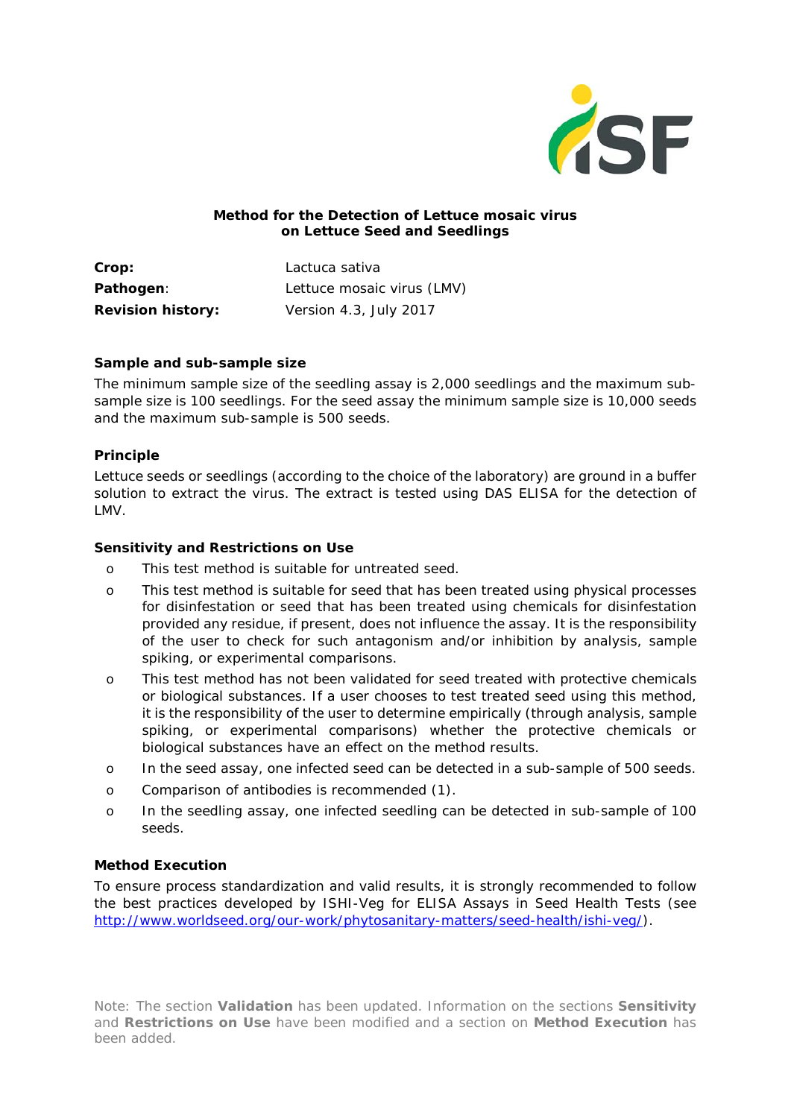

### **Method for the Detection of** *Lettuce mosaic virus* **on Lettuce Seed and Seedlings**

**Crop:** *Lactuca sativa* **Pathogen**: *Lettuce mosaic virus* (LMV) **Revision history:** Version 4.3, July 2017

#### **Sample and sub-sample size**

The minimum sample size of the seedling assay is 2,000 seedlings and the maximum subsample size is 100 seedlings. For the seed assay the minimum sample size is 10,000 seeds and the maximum sub-sample is 500 seeds.

### **Principle**

Lettuce seeds or seedlings (according to the choice of the laboratory) are ground in a buffer solution to extract the virus. The extract is tested using DAS ELISA for the detection of LMV.

### **Sensitivity and Restrictions on Use**

- o This test method is suitable for untreated seed.
- o This test method is suitable for seed that has been treated using physical processes for disinfestation or seed that has been treated using chemicals for disinfestation provided any residue, if present, does not influence the assay. It is the responsibility of the user to check for such antagonism and/or inhibition by analysis, sample spiking, or experimental comparisons.
- o This test method has not been validated for seed treated with protective chemicals or biological substances. If a user chooses to test treated seed using this method, it is the responsibility of the user to determine empirically (through analysis, sample spiking, or experimental comparisons) whether the protective chemicals or biological substances have an effect on the method results.
- o In the seed assay, one infected seed can be detected in a sub-sample of 500 seeds.
- o Comparison of antibodies is recommended (1).
- o In the seedling assay, one infected seedling can be detected in sub-sample of 100 seeds.

### **Method Execution**

To ensure process standardization and valid results, it is strongly recommended to follow the best practices developed by ISHI-Veg for *ELISA Assays in Seed Health Tests* (see [http://www.worldseed.org/our-work/phytosanitary-matters/seed-health/ishi-veg/\)](http://www.worldseed.org/our-work/phytosanitary-matters/seed-health/ishi-veg/).

Note: The section **Validation** has been updated. Information on the sections **Sensitivity** and **Restrictions on Use** have been modified and a section on **Method Execution** has been added.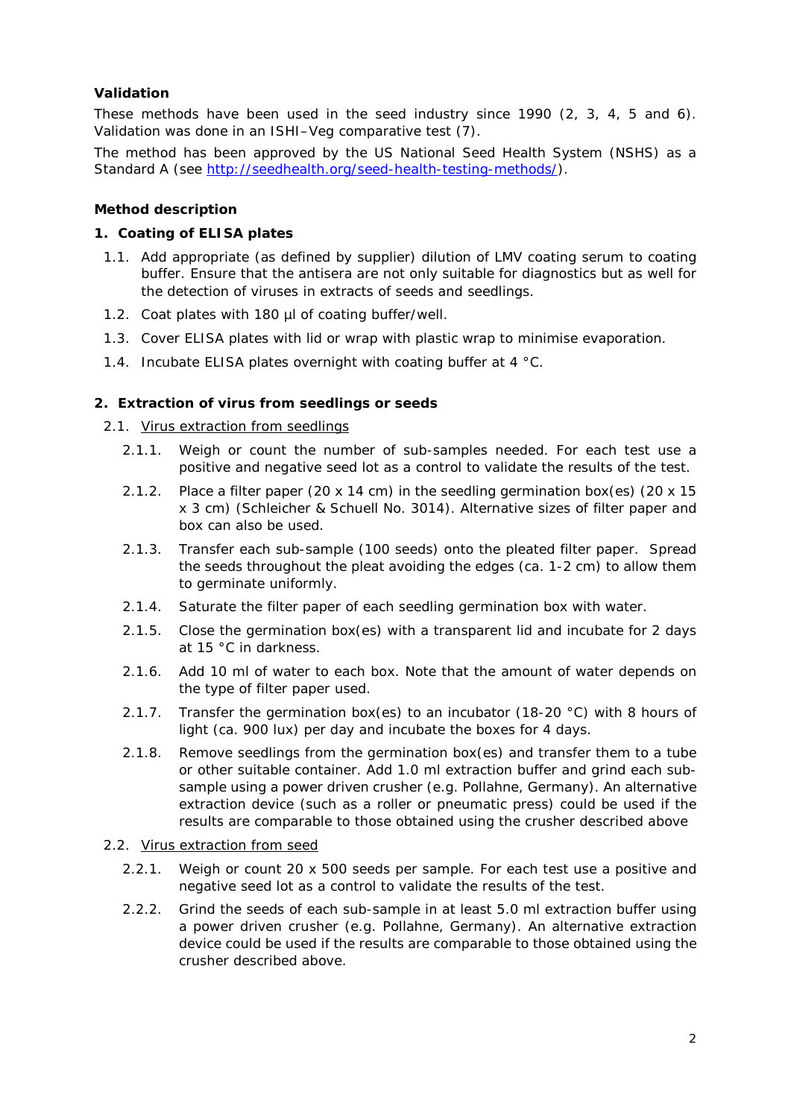## **Validation**

These methods have been used in the seed industry since 1990 (2, 3, 4, 5 and 6). Validation was done in an ISHI–Veg comparative test (7).

The method has been approved by the US National Seed Health System (NSHS) as a Standard A (see [http://seedhealth.org/seed-health-testing-methods/\)](http://seedhealth.org/seed-health-testing-methods/).

#### **Method description**

### **1. Coating of ELISA plates**

- 1.1. Add appropriate (as defined by supplier) dilution of LMV coating serum to coating buffer. Ensure that the antisera are not only suitable for diagnostics but as well for the detection of viruses in extracts of seeds and seedlings.
- 1.2. Coat plates with 180 µl of coating buffer/well.
- 1.3. Cover ELISA plates with lid or wrap with plastic wrap to minimise evaporation.
- 1.4. Incubate ELISA plates overnight with coating buffer at 4 °C.

### **2. Extraction of virus from seedlings or seeds**

#### 2.1. Virus extraction from seedlings

- 2.1.1. Weigh or count the number of sub-samples needed. For each test use a positive and negative seed lot as a control to validate the results of the test.
- 2.1.2. Place a filter paper (20 x 14 cm) in the seedling germination box(es) (20 x 15 x 3 cm) (Schleicher & Schuell No. 3014). Alternative sizes of filter paper and box can also be used.
- 2.1.3. Transfer each sub-sample (100 seeds) onto the pleated filter paper. Spread the seeds throughout the pleat avoiding the edges (ca. 1-2 cm) to allow them to germinate uniformly.
- 2.1.4. Saturate the filter paper of each seedling germination box with water.
- 2.1.5. Close the germination box(es) with a transparent lid and incubate for 2 days at 15 °C in darkness.
- 2.1.6. Add 10 ml of water to each box. Note that the amount of water depends on the type of filter paper used.
- 2.1.7. Transfer the germination box(es) to an incubator (18-20 °C) with 8 hours of light (ca. 900 lux) per day and incubate the boxes for 4 days.
- 2.1.8. Remove seedlings from the germination box(es) and transfer them to a tube or other suitable container. Add 1.0 ml extraction buffer and grind each subsample using a power driven crusher (e.g. Pollahne, Germany). An alternative extraction device (such as a roller or pneumatic press) could be used if the results are comparable to those obtained using the crusher described above

#### 2.2. Virus extraction from seed

- 2.2.1. Weigh or count 20 x 500 seeds per sample. For each test use a positive and negative seed lot as a control to validate the results of the test.
- 2.2.2. Grind the seeds of each sub-sample in at least 5.0 ml extraction buffer using a power driven crusher (e.g. Pollahne, Germany). An alternative extraction device could be used if the results are comparable to those obtained using the crusher described above.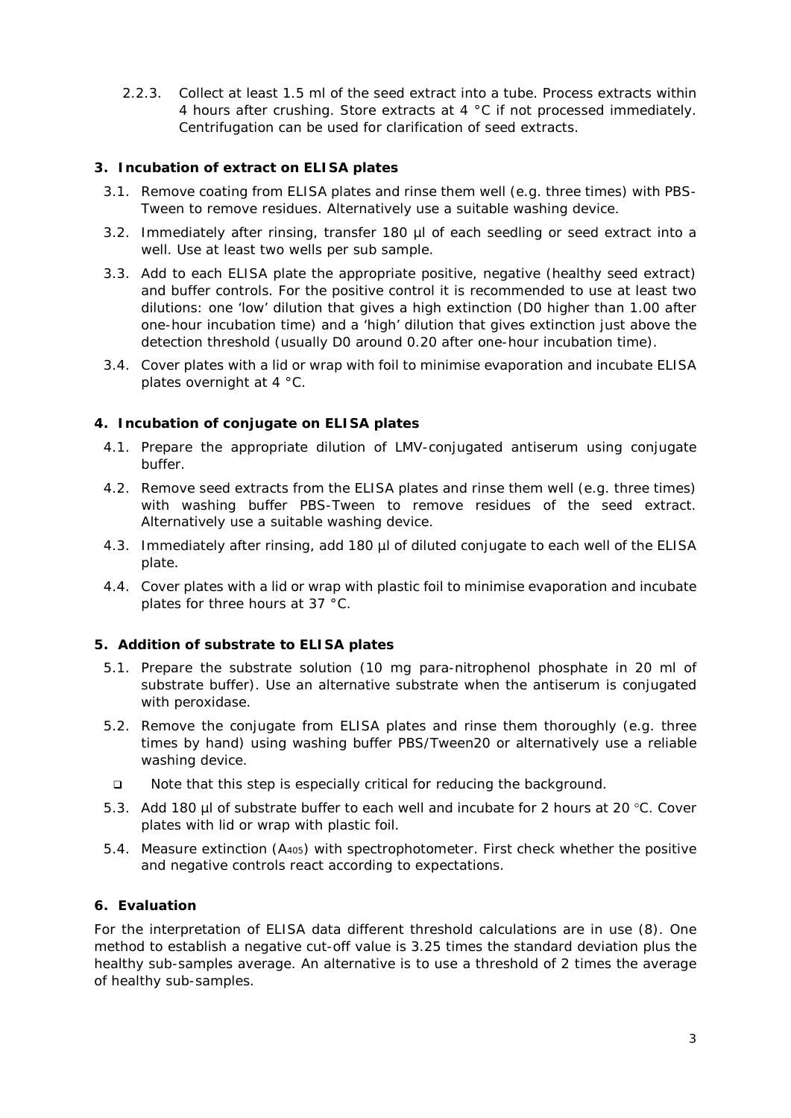2.2.3. Collect at least 1.5 ml of the seed extract into a tube. Process extracts within 4 hours after crushing. Store extracts at 4 °C if not processed immediately. Centrifugation can be used for clarification of seed extracts.

## **3. Incubation of extract on ELISA plates**

- 3.1. Remove coating from ELISA plates and rinse them well (e.g. three times) with PBS-Tween to remove residues. Alternatively use a suitable washing device.
- 3.2. Immediately after rinsing, transfer 180 µl of each seedling or seed extract into a well. Use at least two wells per sub sample.
- 3.3. Add to each ELISA plate the appropriate positive, negative (healthy seed extract) and buffer controls. For the positive control it is recommended to use at least two dilutions: one 'low' dilution that gives a high extinction (D0 higher than 1.00 after one-hour incubation time) and a 'high' dilution that gives extinction just above the detection threshold (usually D0 around 0.20 after one-hour incubation time).
- 3.4. Cover plates with a lid or wrap with foil to minimise evaporation and incubate ELISA plates overnight at 4 °C.

### **4. Incubation of conjugate on ELISA plates**

- 4.1. Prepare the appropriate dilution of LMV-conjugated antiserum using conjugate buffer.
- 4.2. Remove seed extracts from the ELISA plates and rinse them well (e.g. three times) with washing buffer PBS-Tween to remove residues of the seed extract. Alternatively use a suitable washing device.
- 4.3. Immediately after rinsing, add 180 µl of diluted conjugate to each well of the ELISA plate.
- 4.4. Cover plates with a lid or wrap with plastic foil to minimise evaporation and incubate plates for three hours at 37 °C.

#### **5. Addition of substrate to ELISA plates**

- 5.1. Prepare the substrate solution (10 mg para-nitrophenol phosphate in 20 ml of substrate buffer). Use an alternative substrate when the antiserum is conjugated with peroxidase.
- 5.2. Remove the conjugate from ELISA plates and rinse them thoroughly (e.g. three times by hand) using washing buffer PBS/Tween20 or alternatively use a reliable washing device.
	- Note that this step is especially critical for reducing the background.
- 5.3. Add 180 µl of substrate buffer to each well and incubate for 2 hours at 20 °C. Cover plates with lid or wrap with plastic foil.
- 5.4. Measure extinction (A405) with spectrophotometer. First check whether the positive and negative controls react according to expectations.

#### **6. Evaluation**

For the interpretation of ELISA data different threshold calculations are in use (8). One method to establish a negative cut-off value is 3.25 times the standard deviation plus the healthy sub-samples average. An alternative is to use a threshold of 2 times the average of healthy sub-samples.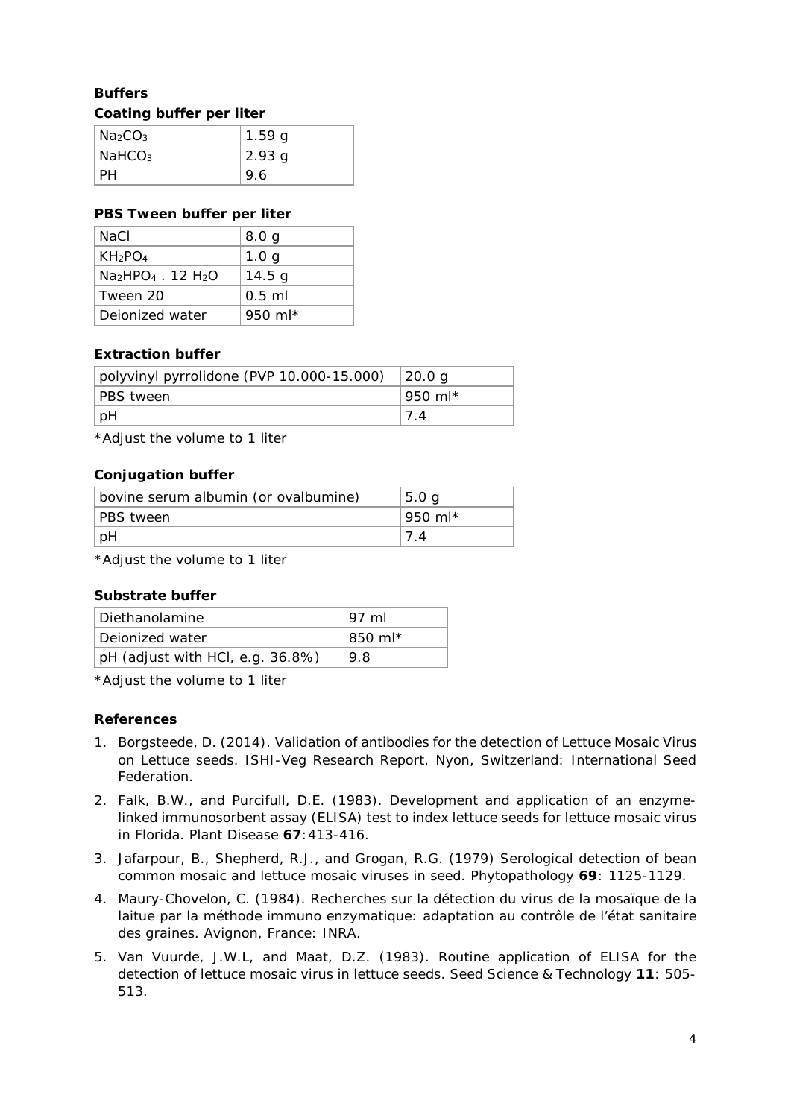# **Buffers Coating buffer per liter**

| Na <sub>2</sub> CO <sub>3</sub> | 1.59g  |
|---------------------------------|--------|
| $N$ aHCO <sub>3</sub>           | 2.93 g |
| PН                              | 9.6    |

## **PBS Tween buffer per liter**

| NaCl                            | 8.0 <sub>g</sub>    |
|---------------------------------|---------------------|
| KH <sub>2</sub> PO <sub>4</sub> | 1.0 <sub>g</sub>    |
| $Na2HPO4$ . 12 H <sub>2</sub> O | 14.5 g              |
| Tween 20                        | $0.5$ ml            |
| Dejonized water                 | 950 ml <sup>*</sup> |

## **Extraction buffer**

| polyvinyl pyrrolidone (PVP 10.000-15.000) | 20.0 g   |
|-------------------------------------------|----------|
| <b>PBS</b> tween                          | ∣950 ml* |
| pH                                        | 7.4      |

\*Adjust the volume to 1 liter

## **Conjugation buffer**

| bovine serum albumin (or ovalbumine) | 5.0 <sub>q</sub> |
|--------------------------------------|------------------|
| PBS tween                            | 950 ml*          |
| pH                                   |                  |

\*Adjust the volume to 1 liter

## **Substrate buffer**

| Diethanolamine                      | 97 ml   |
|-------------------------------------|---------|
| Dejonized water                     | 850 ml* |
| $ pH$ (adjust with HCl, e.g. 36.8%) | 9.8     |

\*Adjust the volume to 1 liter

## **References**

- 1. Borgsteede, D. (2014). Validation of antibodies for the detection of Lettuce Mosaic Virus on Lettuce seeds. ISHI-Veg Research Report. Nyon, Switzerland: International Seed Federation.
- 2. Falk, B.W., and Purcifull, D.E. (1983). Development and application of an enzymelinked immunosorbent assay (ELISA) test to index lettuce seeds for lettuce mosaic virus in Florida. *Plant Disease* **67**:413-416.
- 3. Jafarpour, B., Shepherd, R.J., and Grogan, R.G. (1979) Serological detection of bean common mosaic and lettuce mosaic viruses in seed. *Phytopathology* **69**: 1125-1129.
- 4. Maury-Chovelon, C. (1984). Recherches sur la détection du virus de la mosaïque de la laitue par la méthode immuno enzymatique: adaptation au contrôle de l'état sanitaire des graines. Avignon, France: INRA.
- 5. Van Vuurde, J.W.L, and Maat, D.Z. (1983). Routine application of ELISA for the detection of lettuce mosaic virus in lettuce seeds. *Seed Science & Technology* **11**: 505- 513.